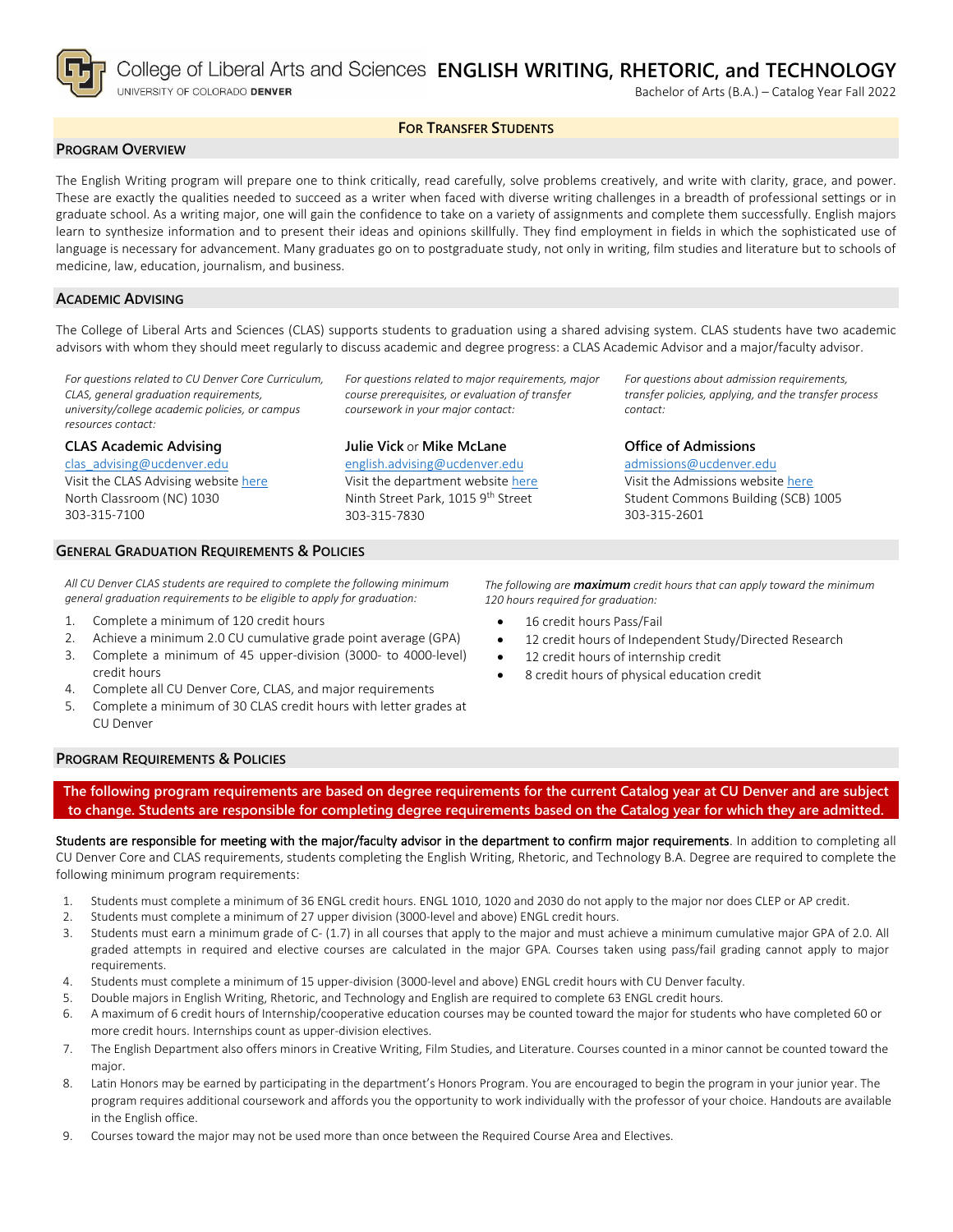

# **FOR TRANSFER STUDENTS**

## **PROGRAM OVERVIEW**

The English Writing program will prepare one to think critically, read carefully, solve problems creatively, and write with clarity, grace, and power. These are exactly the qualities needed to succeed as a writer when faced with diverse writing challenges in a breadth of professional settings or in graduate school. As a writing major, one will gain the confidence to take on a variety of assignments and complete them successfully. English majors learn to synthesize information and to present their ideas and opinions skillfully. They find employment in fields in which the sophisticated use of language is necessary for advancement. Many graduates go on to postgraduate study, not only in writing, film studies and literature but to schools of medicine, law, education, journalism, and business.

#### **ACADEMIC ADVISING**

The College of Liberal Arts and Sciences (CLAS) supports students to graduation using a shared advising system. CLAS students have two academic advisors with whom they should meet regularly to discuss academic and degree progress: a CLAS Academic Advisor and a major/faculty advisor.

> *For questions related to major requirements, major course prerequisites, or evaluation of transfer*

*For questions related to CU Denver Core Curriculum, CLAS, general graduation requirements, university/college academic policies, or campus resources contact:*

#### **CLAS Academic Advising**

[clas\\_advising@ucdenver.edu](mailto:clas_advising@ucdenver.edu)

Visit the CLAS Advising websit[e here](https://clas.ucdenver.edu/advising/) North Classroom (NC) 1030 303-315-7100

# **Julie Vick** or **Mike McLane**

*coursework in your major contact:*

[english.advising@ucdenver.edu](mailto:english.advising@ucdenver.edu) Visit the department website [here](https://clas.ucdenver.edu/english/english-writing-rhetoric-technology-major) Ninth Street Park, 1015 9<sup>th</sup> Street 303-315-7830

*For questions about admission requirements, transfer policies, applying, and the transfer process contact:*

## **Office of Admissions** [admissions@ucdenver.edu](mailto:admissions@ucdenver.edu) Visit the Admissions website [here](http://www.ucdenver.edu/admissions/Pages/index.aspx) Student Commons Building (SCB) 1005

#### **GENERAL GRADUATION REQUIREMENTS & POLICIES**

*All CU Denver CLAS students are required to complete the following minimum general graduation requirements to be eligible to apply for graduation:*

- 1. Complete a minimum of 120 credit hours
- 2. Achieve a minimum 2.0 CU cumulative grade point average (GPA)
- 3. Complete a minimum of 45 upper-division (3000- to 4000-level) credit hours
- 4. Complete all CU Denver Core, CLAS, and major requirements
- 5. Complete a minimum of 30 CLAS credit hours with letter grades at CU Denver

*The following are maximum credit hours that can apply toward the minimum 120 hours required for graduation:*

303-315-2601

- 16 credit hours Pass/Fail
- 12 credit hours of Independent Study/Directed Research
- 12 credit hours of internship credit
	- 8 credit hours of physical education credit

## **PROGRAM REQUIREMENTS & POLICIES**

**The following program requirements are based on degree requirements for the current Catalog year at CU Denver and are subject to change. Students are responsible for completing degree requirements based on the Catalog year for which they are admitted.**

Students are responsible for meeting with the major/faculty advisor in the department to confirm major requirements. In addition to completing all CU Denver Core and CLAS requirements, students completing the English Writing, Rhetoric, and Technology B.A. Degree are required to complete the following minimum program requirements:

- 1. Students must complete a minimum of 36 ENGL credit hours. ENGL 1010, 1020 and 2030 do not apply to the major nor does CLEP or AP credit.
- 2. Students must complete a minimum of 27 upper division (3000-level and above) ENGL credit hours.
- 3. Students must earn a minimum grade of C- (1.7) in all courses that apply to the major and must achieve a minimum cumulative major GPA of 2.0. All graded attempts in required and elective courses are calculated in the major GPA. Courses taken using pass/fail grading cannot apply to major requirements.
- 4. Students must complete a minimum of 15 upper-division (3000-level and above) ENGL credit hours with CU Denver faculty.
- 5. Double majors in English Writing, Rhetoric, and Technology and English are required to complete 63 ENGL credit hours.
- 6. A maximum of 6 credit hours of Internship/cooperative education courses may be counted toward the major for students who have completed 60 or more credit hours. Internships count as upper-division electives.
- 7. The English Department also offers minors in Creative Writing, Film Studies, and Literature. Courses counted in a minor cannot be counted toward the major.
- 8. Latin Honors may be earned by participating in the department's Honors Program. You are encouraged to begin the program in your junior year. The program requires additional coursework and affords you the opportunity to work individually with the professor of your choice. Handouts are available in the English office.
- 9. Courses toward the major may not be used more than once between the Required Course Area and Electives.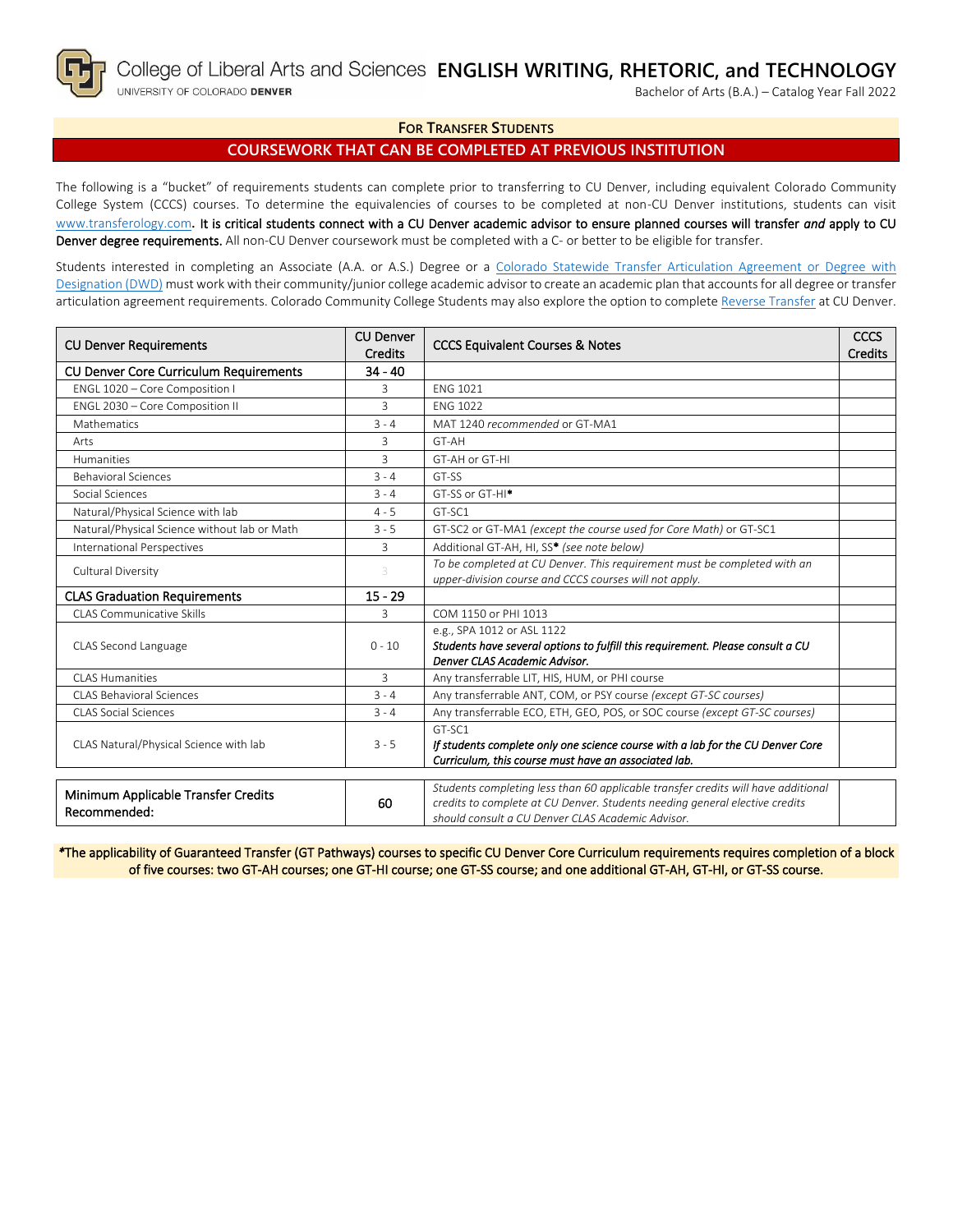

Bachelor of Arts (B.A.) – Catalog Year Fall 2022

# **FOR TRANSFER STUDENTS**

# **COURSEWORK THAT CAN BE COMPLETED AT PREVIOUS INSTITUTION**

The following is a "bucket" of requirements students can complete prior to transferring to CU Denver, including equivalent Colorado Community College System (CCCS) courses. To determine the equivalencies of courses to be completed at non-CU Denver institutions, students can visit [www.transferology.com](http://www.transferology.com/)**.** It is critical students connect with a CU Denver academic advisor to ensure planned courses will transfer *and* apply to CU Denver degree requirements. All non-CU Denver coursework must be completed with a C- or better to be eligible for transfer.

Students interested in completing an Associate (A.A. or A.S.) Degree or a [Colorado Statewide Transfer Articulation Agreement or Degree with](https://highered.colorado.gov/transfer-degrees)  [Designation \(DWD\)](https://highered.colorado.gov/transfer-degrees) must work with their community/junior college academic advisor to create an academic plan that accounts for all degree or transfer articulation agreement requirements. Colorado Community College Students may also explore the option to complet[e Reverse Transfer](https://highered.colorado.gov/students/attending-college/colorado-reverse-transfer) at CU Denver.

| <b>CU Denver Requirements</b>                       | <b>CU Denver</b><br><b>Credits</b> | <b>CCCS Equivalent Courses &amp; Notes</b>                                                                                                                                                                            | <b>CCCS</b><br><b>Credits</b> |
|-----------------------------------------------------|------------------------------------|-----------------------------------------------------------------------------------------------------------------------------------------------------------------------------------------------------------------------|-------------------------------|
| <b>CU Denver Core Curriculum Requirements</b>       | $34 - 40$                          |                                                                                                                                                                                                                       |                               |
| ENGL 1020 - Core Composition I                      | 3                                  | <b>FNG 1021</b>                                                                                                                                                                                                       |                               |
| ENGL 2030 - Core Composition II                     | 3                                  | <b>FNG 1022</b>                                                                                                                                                                                                       |                               |
| Mathematics                                         | $3 - 4$                            | MAT 1240 recommended or GT-MA1                                                                                                                                                                                        |                               |
| Arts                                                | 3                                  | GT-AH                                                                                                                                                                                                                 |                               |
| Humanities                                          | 3                                  | GT-AH or GT-HI                                                                                                                                                                                                        |                               |
| <b>Behavioral Sciences</b>                          | $3 - 4$                            | GT-SS                                                                                                                                                                                                                 |                               |
| Social Sciences                                     | $3 - 4$                            | GT-SS or GT-HI <sup>*</sup>                                                                                                                                                                                           |                               |
| Natural/Physical Science with lab                   | $4 - 5$                            | GT-SC1                                                                                                                                                                                                                |                               |
| Natural/Physical Science without lab or Math        | $3 - 5$                            | GT-SC2 or GT-MA1 (except the course used for Core Math) or GT-SC1                                                                                                                                                     |                               |
| International Perspectives                          | 3                                  | Additional GT-AH, HI, SS* (see note below)                                                                                                                                                                            |                               |
| Cultural Diversity                                  | 3                                  | To be completed at CU Denver. This requirement must be completed with an<br>upper-division course and CCCS courses will not apply.                                                                                    |                               |
| <b>CLAS Graduation Requirements</b>                 | $15 - 29$                          |                                                                                                                                                                                                                       |                               |
| CLAS Communicative Skills                           | 3                                  | COM 1150 or PHI 1013                                                                                                                                                                                                  |                               |
| CLAS Second Language                                | $0 - 10$                           | e.g., SPA 1012 or ASL 1122<br>Students have several options to fulfill this requirement. Please consult a CU<br>Denver CLAS Academic Advisor.                                                                         |                               |
| CLAS Humanities                                     | 3                                  | Any transferrable LIT, HIS, HUM, or PHI course                                                                                                                                                                        |                               |
| <b>CLAS Behavioral Sciences</b>                     | $3 - 4$                            | Any transferrable ANT, COM, or PSY course (except GT-SC courses)                                                                                                                                                      |                               |
| <b>CLAS Social Sciences</b>                         | $3 - 4$                            | Any transferrable ECO, ETH, GEO, POS, or SOC course (except GT-SC courses)                                                                                                                                            |                               |
| CLAS Natural/Physical Science with lab              | $3 - 5$                            | GT-SC1<br>If students complete only one science course with a lab for the CU Denver Core<br>Curriculum, this course must have an associated lab.                                                                      |                               |
| Minimum Applicable Transfer Credits<br>Recommended: | 60                                 | Students completing less than 60 applicable transfer credits will have additional<br>credits to complete at CU Denver. Students needing general elective credits<br>should consult a CU Denver CLAS Academic Advisor. |                               |

*\**The applicability of Guaranteed Transfer (GT Pathways) courses to specific CU Denver Core Curriculum requirements requires completion of a block of five courses: two GT-AH courses; one GT-HI course; one GT-SS course; and one additional GT-AH, GT-HI, or GT-SS course.